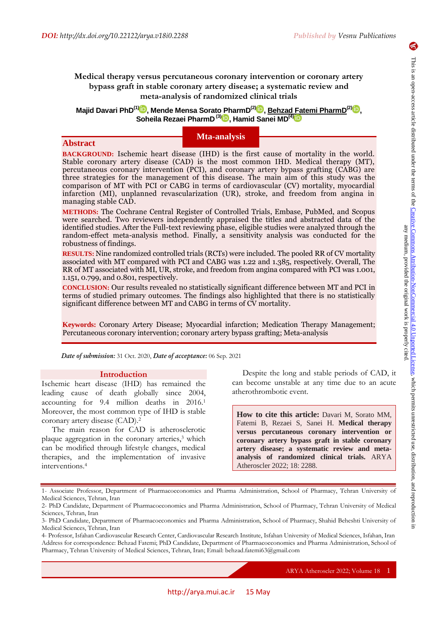6

# **Medical therapy versus percutaneous coronary intervention or coronary artery bypass graft in stable coronary artery disease; a systematic review and meta-analysis of randomized clinical trials**

**Majid Davari PhD(1[\)](https://orcid.org/0000-0001-7483-0259) , Mende Mensa Sorato PharmD(2[\)](https://orcid.org/0000-0002-6342-0980) , Behzad [Fa](https://orcid.org/0000-0002-3671-8220)temi PharmD(2[\)](https://orcid.org/0000-0001-7912-7546) , Soheila Rezaei PharmD (3[\)](https://orcid.org/0000-0001-9077-6715) , Hamid Sanei MD(4)**

## **Mta-analysis**

## **Abstract**

**BACKGROUND:** Ischemic heart disease (IHD) is the first cause of mortality in the world. Stable coronary artery disease (CAD) is the most common IHD. Medical therapy (MT), percutaneous coronary intervention (PCI), and coronary artery bypass grafting (CABG) are three strategies for the management of this disease. The main aim of this study was the comparison of MT with PCI or CABG in terms of cardiovascular (CV) mortality, myocardial infarction (MI), unplanned revascularization (UR), stroke, and freedom from angina in managing stable CAD.

**METHODS:** The Cochrane Central Register of Controlled Trials, Embase, PubMed, and Scopus were searched. Two reviewers independently appraised the titles and abstracted data of the identified studies. After the Full-text reviewing phase, eligible studies were analyzed through the random-effect meta-analysis method. Finally, a sensitivity analysis was conducted for the robustness of findings.

**RESULTS:** Nine randomized controlled trials (RCTs) were included. The pooled RR of CV mortality associated with MT compared with PCI and CABG was 1.22 and 1.385, respectively. Overall, The RR of MT associated with MI, UR, stroke, and freedom from angina compared with PCI was 1.001, 1.151, 0.799, and 0.801, respectively.

**CONCLUSION:** Our results revealed no statistically significant difference between MT and PCI in terms of studied primary outcomes. The findings also highlighted that there is no statistically significant difference between MT and CABG in terms of CV mortality.

**Keywords:** Coronary Artery Disease; Myocardial infarction; Medication Therapy Management; Percutaneous coronary intervention; coronary artery bypass grafting; Meta-analysis

*Date of submission:* 31 Oct. 2020, *Date of acceptance:* 06 Sep. 2021

#### **Introduction**

Ischemic heart disease (IHD) has remained the leading cause of death globally since 2004, accounting for 9.4 million deaths in 2016.<sup>1</sup> Moreover, the most common type of IHD is stable coronary artery disease (CAD).<sup>2</sup>

The main reason for CAD is atherosclerotic plaque aggregation in the coronary arteries,<sup>3</sup> which can be modified through lifestyle changes, medical therapies, and the implementation of invasive interventions.<sup>4</sup>

Despite the long and stable periods of CAD, it can become unstable at any time due to an acute atherothrombotic event.

**How to cite this article:** Davari M, Sorato MM, Fatemi B, Rezaei S, Sanei H. **Medical therapy versus percutaneous coronary intervention or coronary artery bypass graft in stable coronary artery disease; a systematic review and metaanalysis of randomized clinical trials.** ARYA Atheroscler 2022; 18: 2288.

<sup>1-</sup> Associate Professor, Department of Pharmacoeconomics and Pharma Administration, School of Pharmacy, Tehran University of Medical Sciences, Tehran, Iran

<sup>2-</sup> PhD Candidate, Department of Pharmacoeconomics and Pharma Administration, School of Pharmacy, Tehran University of Medical Sciences, Tehran, Iran

<sup>3-</sup> PhD Candidate, Department of Pharmacoeconomics and Pharma Administration, School of Pharmacy, Shahid Beheshti University of Medical Sciences, Tehran, Iran

<sup>4-</sup> Professor, Isfahan Cardiovascular Research Center, Cardiovascular Research Institute, Isfahan University of Medical Sciences, Isfahan, Iran Address for correspondence: Behzad Fatemi; PhD Candidate, Department of Pharmacoeconomics and Pharma Administration, School of Pharmacy, Tehran University of Medical Sciences, Tehran, Iran; Email: behzad.fatemi63@gmail.com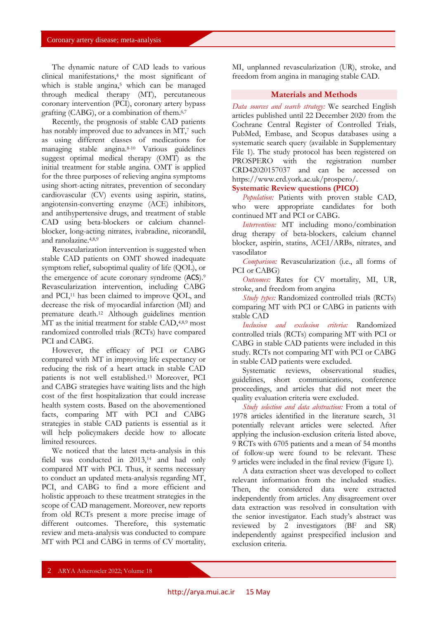The dynamic nature of CAD leads to various clinical manifestations,<sup>4</sup> the most significant of which is stable angina,<sup>5</sup> which can be managed through medical therapy (MT), percutaneous coronary intervention (PCI), coronary artery bypass grafting (CABG), or a combination of them. 6,7

Recently, the prognosis of stable CAD patients has notably improved due to advances in MT,<sup>7</sup> such as using different classes of medications for managing stable angina.8-10 Various guidelines suggest optimal medical therapy (OMT) as the initial treatment for stable angina. OMT is applied for the three purposes of relieving angina symptoms using short-acting nitrates, prevention of secondary cardiovascular (CV) events using aspirin, statins, angiotensin-converting enzyme (ACE) inhibitors, and antihypertensive drugs, and treatment of stable CAD using beta-blockers or calcium channelblocker, long-acting nitrates, ivabradine, nicorandil, and ranolazine.4,8,9

Revascularization intervention is suggested when stable CAD patients on OMT showed inadequate symptom relief, suboptimal quality of life (QOL), or the emergence of acute coronary syndrome (ACS).<sup>9</sup> Revascularization intervention, including CABG and PCI,<sup>11</sup> has been claimed to improve QOL, and decrease the risk of myocardial infarction (MI) and premature death.<sup>12</sup> Although guidelines mention MT as the initial treatment for stable CAD,<sup>4,8,9</sup> most randomized controlled trials (RCTs) have compared PCI and CABG.

However, the efficacy of PCI or CABG compared with MT in improving life expectancy or reducing the risk of a heart attack in stable CAD patients is not well established. <sup>13</sup> Moreover, PCI and CABG strategies have waiting lists and the high cost of the first hospitalization that could increase health system costs. Based on the abovementioned facts, comparing MT with PCI and CABG strategies in stable CAD patients is essential as it will help policymakers decide how to allocate limited resources.

We noticed that the latest meta-analysis in this field was conducted in 2013,<sup>14</sup> and had only compared MT with PCI. Thus, it seems necessary to conduct an updated meta-analysis regarding MT, PCI, and CABG to find a more efficient and holistic approach to these treatment strategies in the scope of CAD management. Moreover, new reports from old RCTs present a more precise image of different outcomes. Therefore, this systematic review and meta-analysis was conducted to compare MT with PCI and CABG in terms of CV mortality,

MI, unplanned revascularization (UR), stroke, and freedom from angina in managing stable CAD.

### **Materials and Methods**

*Data sources and search strategy:* We searched English articles published until 22 December 2020 from the Cochrane Central Register of Controlled Trials, PubMed, Embase, and Scopus databases using a systematic search query (available in Supplementary File 1). The study protocol has been registered on PROSPERO with the registration number CRD42020157037 and can be accessed on [https://www.crd.york.ac.uk/prospero/.](https://www.crd.york.ac.uk/prospero/)

# **Systematic Review questions (PICO)**

*Population:* Patients with proven stable CAD, who were appropriate candidates for both continued MT and PCI or CABG.

*Intervention:* MT including mono/combination drug therapy of beta-blockers, calcium channel blocker, aspirin, statins, ACEI/ARBs, nitrates, and vasodilator

*Comparison:* Revascularization (i.e., all forms of PCI or CABG)

*Outcomes:* Rates for CV mortality, MI, UR, stroke, and freedom from angina

*Study types:* Randomized controlled trials (RCTs) comparing MT with PCI or CABG in patients with stable CAD

*Inclusion and exclusion criteria:* Randomized controlled trials (RCTs) comparing MT with PCI or CABG in stable CAD patients were included in this study. RCTs not comparing MT with PCI or CABG in stable CAD patients were excluded.

Systematic reviews, observational studies, guidelines, short communications, conference proceedings, and articles that did not meet the quality evaluation criteria were excluded.

*Study selection and data abstraction:* From a total of 1978 articles identified in the literature search, 31 potentially relevant articles were selected. After applying the inclusion-exclusion criteria listed above, 9 RCTs with 6705 patients and a mean of 54 months of follow-up were found to be relevant. These 9 articles were included in the final review (Figure 1).

A data extraction sheet was developed to collect relevant information from the included studies. Then, the considered data were extracted independently from articles. Any disagreement over data extraction was resolved in consultation with the senior investigator. Each study's abstract was reviewed by 2 investigators (BF and SR) independently against prespecified inclusion and exclusion criteria.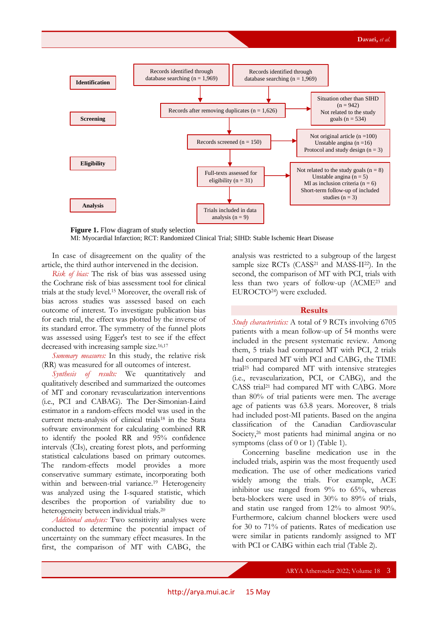

**Figure 1.** Flow diagram of study selection MI: Myocardial Infarction; RCT: Randomized Clinical Trial; SIHD: Stable Ischemic Heart Disease

In case of disagreement on the quality of the article, the third author intervened in the decision.

*Risk of bias:* The risk of bias was assessed using the Cochrane risk of bias assessment tool for clinical trials at the study level.<sup>15</sup> Moreover, the overall risk of bias across studies was assessed based on each outcome of interest. To investigate publication bias for each trial, the effect was plotted by the inverse of its standard error. The symmetry of the funnel plots was assessed using Egger's test to see if the effect decreased with increasing sample size.<sup>16,17</sup>

*Summary measures:* In this study, the relative risk (RR) was measured for all outcomes of interest.

*Synthesis of results:* We quantitatively and qualitatively described and summarized the outcomes of MT and coronary revascularization interventions (i.e., PCI and CABAG). The Der-Simonian-Laird estimator in a random-effects model was used in the current meta-analysis of clinical trials<sup>18</sup> in the Stata software environment for calculating combined RR to identify the pooled RR and 95% confidence intervals (CIs), creating forest plots, and performing statistical calculations based on primary outcomes. The random-effects model provides a more conservative summary estimate, incorporating both within and between-trial variance.<sup>19</sup> Heterogeneity was analyzed using the I-squared statistic, which describes the proportion of variability due to heterogeneity between individual trials.<sup>20</sup>

*Additional analyses:* Two sensitivity analyses were conducted to determine the potential impact of uncertainty on the summary effect measures. In the first, the comparison of MT with CABG, the

analysis was restricted to a subgroup of the largest sample size RCTs (CASS<sup>21</sup> and MASS-II<sup>22</sup>). In the second, the comparison of MT with PCI, trials with less than two years of follow-up (ACME<sup>23</sup> and EUROCTO24) were excluded.

## **Results**

*Study characteristics:* A total of 9 RCTs involving 6705 patients with a mean follow-up of 54 months were included in the present systematic review. Among them, 5 trials had compared MT with PCI, 2 trials had compared MT with PCI and CABG, the TIME trial<sup>25</sup> had compared MT with intensive strategies (i.e., revascularization, PCI, or CABG), and the CASS trial<sup>21</sup> had compared MT with CABG. More than 80% of trial patients were men. The average age of patients was 63.8 years. Moreover, 8 trials had included post-MI patients. Based on the angina classification of the Canadian Cardiovascular Society,<sup>26</sup> most patients had minimal angina or no symptoms (class of 0 or 1) (Table 1).

Concerning baseline medication use in the included trials, aspirin was the most frequently used medication. The use of other medications varied widely among the trials. For example, ACE inhibitor use ranged from 9% to 65%, whereas beta-blockers were used in 30% to 89% of trials, and statin use ranged from 12% to almost 90%. Furthermore, calcium channel blockers were used for 30 to 71% of patients. Rates of medication use were similar in patients randomly assigned to MT with PCI or CABG within each trial (Table 2).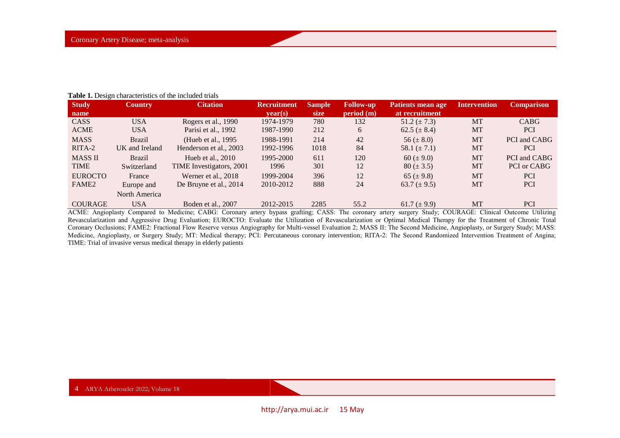| <b>Study</b>      | <b>Country</b> | <b>Citation</b>          | <b>Recruitment</b> | <b>Sample</b> | <b>Follow-up</b> | Patients mean age | <b>Intervention</b> | <b>Comparison</b> |
|-------------------|----------------|--------------------------|--------------------|---------------|------------------|-------------------|---------------------|-------------------|
| name              |                |                          | vear(s)            | size          | period(m)        | at recruitment    |                     |                   |
| <b>CASS</b>       | <b>USA</b>     | Rogers et al., 1990      | 1974-1979          | 780           | 132              | 51.2 $(\pm 7.3)$  | <b>MT</b>           | <b>CABG</b>       |
| <b>ACME</b>       | <b>USA</b>     | Parisi et al., 1992      | 1987-1990          | 212           | 6                | $62.5 (\pm 8.4)$  | MT                  | <b>PCI</b>        |
| <b>MASS</b>       | <b>Brazil</b>  | (Hueb et al., 1995)      | 1988-1991          | 214           | 42               | 56 ( $\pm$ 8.0)   | <b>MT</b>           | PCI and CABG      |
| RITA-2            | UK and Ireland | Henderson et al., 2003   | 1992-1996          | 1018          | 84               | 58.1 $(\pm 7.1)$  | MT                  | <b>PCI</b>        |
| <b>MASS II</b>    | <b>Brazil</b>  | Hueb et al., $2010$      | 1995-2000          | 611           | 120              | 60 ( $\pm$ 9.0)   | <b>MT</b>           | PCI and CABG      |
| <b>TIME</b>       | Switzerland    | TIME Investigators, 2001 | 1996               | 301           | 12               | $80 (\pm 3.5)$    | MT                  | PCI or CABG       |
| <b>EUROCTO</b>    | France         | Werner et al., 2018      | 1999-2004          | 396           | 12               | 65 ( $\pm$ 9.8)   | <b>MT</b>           | <b>PCI</b>        |
| FAME <sub>2</sub> | Europe and     | De Bruyne et al., 2014   | 2010-2012          | 888           | 24               | 63.7 $(\pm 9.5)$  | MT                  | <b>PCI</b>        |
|                   | North America  |                          |                    |               |                  |                   |                     |                   |
| <b>COURAGE</b>    | <b>USA</b>     | Boden et al., 2007       | 2012-2015          | 2285          | 55.2             | 61.7 $(\pm 9.9)$  | <b>MT</b>           | <b>PCI</b>        |

**Table 1.** Design characteristics of the included trials

ACME: Angioplasty Compared to Medicine; CABG: Coronary artery bypass grafting; CASS: The coronary artery surgery Study; COURAGE: Clinical Outcome Utilizing Revascularization and Aggressive Drug Evaluation; EUROCTO: Evaluate the Utilization of Revascularization or Optimal Medical Therapy for the Treatment of Chronic Total Coronary Occlusions; FAME2: Fractional Flow Reserve versus Angiography for Multi-vessel Evaluation 2; MASS II: The Second Medicine, Angioplasty, or Surgery Study; MASS: Medicine, Angioplasty, or Surgery Study; MT: Medical therapy; PCI: Percutaneous coronary intervention; RITA-2: The Second Randomized Intervention Treatment of Angina; TIME: Trial of invasive versus medical therapy in elderly patients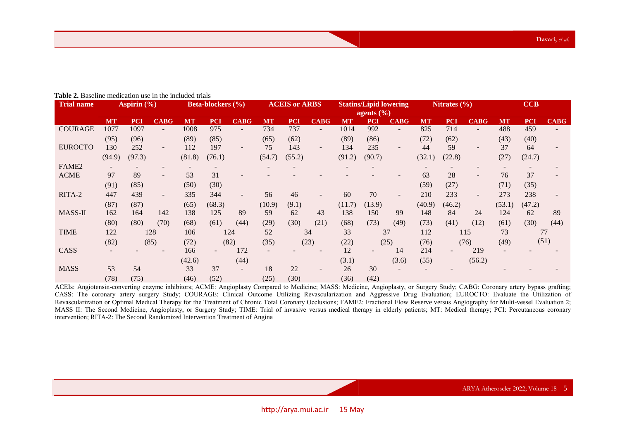| <b>Trial name</b> | Aspirin $(\% )$ |            | <b>Beta-blockers</b> (%) |           | <b>ACEIS or ARBS</b> |                          |           | <b>Statins/Lipid lowering</b><br>agents $\left(\frac{9}{6}\right)$ |                          |           | Nitrates $(\% )$ |                          |           | CCB        |                          |           |            |             |
|-------------------|-----------------|------------|--------------------------|-----------|----------------------|--------------------------|-----------|--------------------------------------------------------------------|--------------------------|-----------|------------------|--------------------------|-----------|------------|--------------------------|-----------|------------|-------------|
|                   | <b>MT</b>       | <b>PCI</b> | <b>CABG</b>              | <b>MT</b> | <b>PCI</b>           | <b>CABG</b>              | <b>MT</b> | <b>PCI</b>                                                         | <b>CABG</b>              | <b>MT</b> | <b>PCI</b>       | <b>CABG</b>              | <b>MT</b> | <b>PCI</b> | <b>CABG</b>              | <b>MT</b> | <b>PCI</b> | <b>CABG</b> |
| <b>COURAGE</b>    | 1077            | 1097       | $\overline{\phantom{a}}$ | 1008      | 975                  | $\overline{\phantom{a}}$ | 734       | 737                                                                | $\overline{\phantom{a}}$ | 1014      | 992              | $\overline{\phantom{a}}$ | 825       | 714        |                          | 488       | 459        |             |
|                   | (95)            | (96)       |                          | (89)      | (85)                 |                          | (65)      | (62)                                                               |                          | (89)      | (86)             |                          | (72)      | (62)       |                          | (43)      | (40)       |             |
| <b>EUROCTO</b>    | 130             | 252        | $\overline{\phantom{a}}$ | 112       | 197                  | $\overline{\phantom{a}}$ | 75        | 143                                                                | $\sim$                   | 134       | 235              | $\overline{\phantom{a}}$ | 44        | 59         | $\overline{\phantom{a}}$ | 37        | 64         |             |
|                   | (94.9)          | (97.3)     |                          | (81.8)    | (76.1)               |                          | (54.7)    | (55.2)                                                             |                          | (91.2)    | (90.7)           |                          | (32.1)    | (22.8)     |                          | (27)      | (24.7)     |             |
| FAME <sub>2</sub> |                 |            |                          |           |                      |                          |           |                                                                    |                          |           |                  |                          |           |            |                          |           |            |             |
| <b>ACME</b>       | 97              | 89         | $\overline{\phantom{a}}$ | 53        | 31                   |                          |           |                                                                    |                          |           |                  |                          | 63        | 28         | $\overline{\phantom{a}}$ | 76        | 37         |             |
|                   | (91)            | (85)       |                          | (50)      | (30)                 |                          |           |                                                                    |                          |           |                  |                          | (59)      | (27)       |                          | (71)      | (35)       |             |
| RITA-2            | 447             | 439        | $\overline{\phantom{a}}$ | 335       | 344                  |                          | 56        | 46                                                                 |                          | 60        | 70               | $\overline{\phantom{a}}$ | 210       | 233        |                          | 273       | 238        |             |
|                   | (87)            | (87)       |                          | (65)      | (68.3)               |                          | (10.9)    | (9.1)                                                              |                          | (11.7)    | (13.9)           |                          | (40.9)    | (46.2)     |                          | (53.1)    | (47.2)     |             |
| MASS-II           | 162             | 164        | 142                      | 138       | 125                  | 89                       | 59        | 62                                                                 | 43                       | 138       | 150              | 99                       | 148       | 84         | 24                       | 124       | 62         | 89          |
|                   | (80)            | (80)       | (70)                     | (68)      | (61)                 | (44)                     | (29)      | (30)                                                               | (21)                     | (68)      | (73)             | (49)                     | (73)      | (41)       | (12)                     | (61)      | (30)       | (44)        |
| <b>TIME</b>       | 122             |            | 128                      | 106       |                      | 124                      | 52        |                                                                    | 34                       | 33        |                  | 37                       | 112       |            | 115                      | 73        |            | 77          |
|                   | (82)            |            | (85)                     | (72)      |                      | (82)                     | (35)      |                                                                    | (23)                     | (22)      |                  | (25)                     | (76)      |            | (76)                     | (49)      | (51)       |             |
| CASS              |                 |            |                          | 166       |                      | 172                      |           |                                                                    |                          | 12        |                  | 14                       | 214       |            | 219                      |           |            |             |
|                   |                 |            |                          | (42.6)    |                      | (44)                     |           |                                                                    |                          | (3.1)     |                  | (3.6)                    | (55)      |            | (56.2)                   |           |            |             |
| <b>MASS</b>       | 53              | 54         |                          | 33        | 37                   | $\overline{\phantom{a}}$ | 18        | 22                                                                 |                          | 26        | 30               |                          |           |            |                          |           |            |             |
|                   | (78)            | (75)       |                          | (46)      | (52)                 |                          | (25)      | (30)                                                               |                          | (36)      | (42)             |                          |           |            |                          |           |            |             |

#### **Table 2.** Baseline medication use in the included trials

ACEIs: Angiotensin-converting enzyme inhibitors; ACME: Angioplasty Compared to Medicine; MASS: Medicine, Angioplasty, or Surgery Study; CABG: Coronary artery bypass grafting; CASS: The coronary artery surgery Study; COURAGE: Clinical Outcome Utilizing Revascularization and Aggressive Drug Evaluation; EUROCTO: Evaluate the Utilization of Revascularization or Optimal Medical Therapy for the Treatment of Chronic Total Coronary Occlusions; FAME2: Fractional Flow Reserve versus Angiography for Multi-vessel Evaluation 2; MASS II: The Second Medicine, Angioplasty, or Surgery Study; TIME: Trial of invasive versus medical therapy in elderly patients; MT: Medical therapy; PCI: Percutaneous coronary intervention; RITA-2: The Second Randomized Intervention Treatment of Angina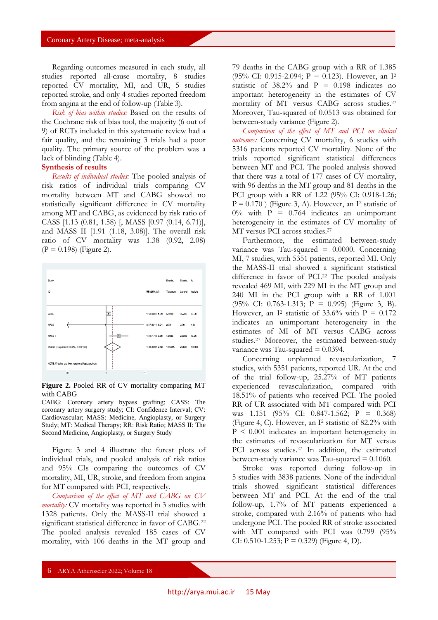Regarding outcomes measured in each study, all studies reported all-cause mortality, 8 studies reported CV mortality, MI, and UR, 5 studies reported stroke, and only 4 studies reported freedom from angina at the end of follow-up (Table 3).

*Risk of bias within studies:* Based on the results of the Cochrane risk of bias tool, the majority (6 out of 9) of RCTs included in this systematic review had a fair quality, and the remaining 3 trials had a poor quality. The primary source of the problem was a lack of blinding (Table 4).

## **Synthesis of results**

*Results of individual studies:* The pooled analysis of risk ratios of individual trials comparing CV mortality between MT and CABG showed no statistically significant difference in CV mortality among MT and CABG, as evidenced by risk ratio of CASS [1.13 (0.81, 1.58) [, MASS [0.97 (0.14, 6.71)], and MASS II [1.91 (1.18, 3.08)]. The overall risk ratio of CV mortality was 1.38 (0.92, 2.08)  $(P = 0.198)$  (Figure 2).



**Figure 2.** Pooled RR of CV mortality comparing MT with CABG

CABG: Coronary artery bypass grafting; CASS: The coronary artery surgery study; CI: Confidence Interval; CV: Cardiovascular; MASS: Medicine, Angioplasty, or Surgery Study; MT: Medical Therapy; RR: Risk Ratio; MASS II: The Second Medicine, Angioplasty, or Surgery Study

Figure 3 and 4 illustrate the forest plots of individual trials, and pooled analysis of risk ratios and 95% CIs comparing the outcomes of CV mortality, MI, UR, stroke, and freedom from angina for MT compared with PCI, respectively.

*Comparison of the effect of MT and CABG on CV mortality:* CV mortality was reported in 3 studies with 1328 patients. Only the MASS-II trial showed a significant statistical difference in favor of CABG.<sup>22</sup> The pooled analysis revealed 185 cases of CV mortality, with 106 deaths in the MT group and

79 deaths in the CABG group with a RR of 1.385 (95% CI: 0.915-2.094;  $P = 0.123$ ). However, an I<sup>2</sup> statistic of  $38.2\%$  and P = 0.198 indicates no important heterogeneity in the estimates of CV mortality of MT versus CABG across studies.<sup>27</sup> Moreover, Tau-squared of 0.0513 was obtained for between-study variance (Figure 2).

*Comparison of the effect of MT and PCI on clinical outcomes:* Concerning CV mortality, 6 studies with 5316 patients reported CV mortality. None of the trials reported significant statistical differences between MT and PCI. The pooled analysis showed that there was a total of 177 cases of CV mortality, with 96 deaths in the MT group and 81 deaths in the PCI group with a RR of 1.22 (95% CI: 0.918-1.26;  $P = 0.170$  ) (Figure 3, A). However, an I<sup>2</sup> statistic of  $0\%$  with P = 0.764 indicates an unimportant heterogeneity in the estimates of CV mortality of MT versus PCI across studies.<sup>27</sup>

Furthermore, the estimated between-study variance was Tau-squared  $= 0.0000$ . Concerning MI, 7 studies, with 5351 patients, reported MI. Only the MASS-II trial showed a significant statistical difference in favor of PCI.<sup>22</sup> The pooled analysis revealed 469 MI, with 229 MI in the MT group and 240 MI in the PCI group with a RR of 1.001 (95% CI: 0.763-1.313; P = 0.995) (Figure 3, B). However, an I<sup>2</sup> statistic of 33.6% with  $P = 0.172$ indicates an unimportant heterogeneity in the estimates of MI of MT versus CABG across studies.<sup>27</sup> Moreover, the estimated between-study variance was Tau-squared  $= 0.0394$ .

Concerning unplanned revascularization, 7 studies, with 5351 patients, reported UR. At the end of the trial follow-up, 25.27% of MT patients experienced revascularization, compared with 18.51% of patients who received PCI. The pooled RR of UR associated with MT compared with PCI was 1.151 (95% CI: 0.847-1.562; P = 0.368) (Figure 4, C). However, an I<sup>2</sup> statistic of 82.2% with  $P < 0.001$  indicates an important heterogeneity in the estimates of revascularization for MT versus PCI across studies.<sup>27</sup> In addition, the estimated between-study variance was Tau-squared  $= 0.1060$ .

Stroke was reported during follow-up in 5 studies with 3838 patients. None of the individual trials showed significant statistical differences between MT and PCI. At the end of the trial follow-up, 1.7% of MT patients experienced a stroke, compared with 2.16% of patients who had undergone PCI. The pooled RR of stroke associated with MT compared with PCI was 0.799 (95% CI: 0.510-1.253;  $P = 0.329$  (Figure 4, D).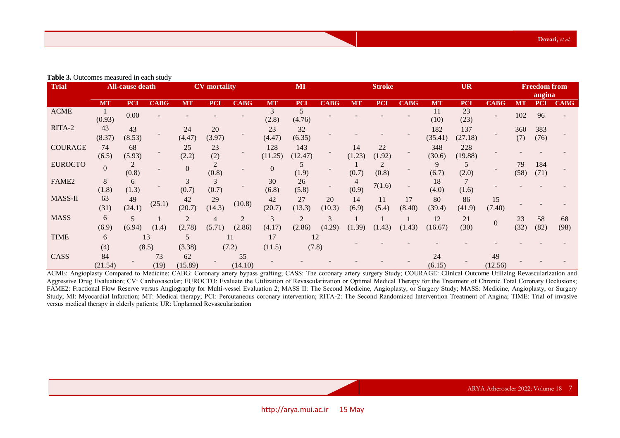**Table 3.** Outcomes measured in each study

| <b>Trial</b>      | <b>All-cause death</b> |              |             | <b>CV</b> mortality |              |               | MI             |                |              | <b>Stroke</b> |              |              | <b>UR</b>      |                |               | <b>Freedom from</b><br>angina |             |             |
|-------------------|------------------------|--------------|-------------|---------------------|--------------|---------------|----------------|----------------|--------------|---------------|--------------|--------------|----------------|----------------|---------------|-------------------------------|-------------|-------------|
|                   | <b>MT</b>              | <b>PCI</b>   | <b>CABG</b> | <b>MT</b>           | <b>PCI</b>   | <b>CABG</b>   | <b>MT</b>      | <b>PCI</b>     | <b>CABG</b>  | <b>MT</b>     | <b>PCI</b>   | <b>CABG</b>  | <b>MT</b>      | <b>PCI</b>     | <b>CABG</b>   | MT                            | <b>PCI</b>  | <b>CABG</b> |
| <b>ACME</b>       | (0.93)                 | 0.00         |             |                     |              |               | (2.8)          | (4.76)         |              |               |              |              | 11<br>(10)     | 23<br>(23)     |               | 102                           | 96          |             |
| RITA-2            | 43<br>(8.37)           | 43<br>(8.53) |             | 24<br>(4.47)        | 20<br>(3.97) |               | 23<br>(4.47)   | 32<br>(6.35)   |              |               |              |              | 182<br>(35.41) | 137<br>(27.18) |               | 360<br>(7)                    | 383<br>(76) |             |
| <b>COURAGE</b>    | 74<br>(6.5)            | 68<br>(5.93) |             | 25<br>(2.2)         | 23<br>(2)    |               | 128<br>(11.25) | 143<br>(12.47) |              | 14<br>(1.23)  | 22<br>(1.92) |              | 348<br>(30.6)  | 228<br>(19.88) |               |                               |             |             |
| <b>EUROCTO</b>    | $\overline{0}$         | (0.8)        |             | $\overline{0}$      | (0.8)        |               | $\Omega$       | (1.9)          |              | (0.7)         | (0.8)        |              | 9<br>(6.7)     | 5<br>(2.0)     |               | 79<br>(58)                    | 184<br>(71) |             |
| FAME <sub>2</sub> | 8<br>(1.8)             | 6<br>(1.3)   |             | (0.7)               | 3<br>(0.7)   |               | 30<br>(6.8)    | 26<br>(5.8)    |              | (0.9)         | 7(1.6)       |              | 18<br>(4.0)    | (1.6)          |               |                               |             |             |
| MASS-II           | 63<br>(31)             | 49<br>(24.1) | (25.1)      | 42<br>(20.7)        | 29<br>(14.3) | (10.8)        | 42<br>(20.7)   | 27<br>(13.3)   | 20<br>(10.3) | 14<br>(6.9)   | 11<br>(5.4)  | 17<br>(8.40) | 80<br>(39.4)   | 86<br>(41.9)   | 15<br>(7.40)  |                               |             |             |
| <b>MASS</b>       | 6<br>(6.9)             | 5<br>(6.94)  | (1.4)       | (2.78)              | (5.71)       | 2<br>(2.86)   | 3<br>(4.17)    | 2<br>(2.86)    | 3<br>(4.29)  | (1.39)        | (1.43)       | (1.43)       | 12<br>(16.67)  | 21<br>(30)     | $\Omega$      | 23<br>(32)                    | 58<br>(82)  | 68<br>(98)  |
| <b>TIME</b>       | 6<br>(4)               |              | 13<br>(8.5) | 5<br>(3.38)         |              | 11<br>(7.2)   | 17<br>(11.5)   | (7.8)          | 12           |               |              |              |                |                |               |                               |             |             |
| CASS              | 84<br>(21.54)          |              | 73<br>(19)  | 62<br>(15.89)       |              | 55<br>(14.10) |                |                |              |               |              |              | 24<br>(6.15)   |                | 49<br>(12.56) |                               |             |             |

ACME: Angioplasty Compared to Medicine; CABG: Coronary artery bypass grafting; CASS: The coronary artery surgery Study; COURAGE: Clinical Outcome Utilizing Revascularization and Aggressive Drug Evaluation; CV: Cardiovascular; EUROCTO: Evaluate the Utilization of Revascularization or Optimal Medical Therapy for the Treatment of Chronic Total Coronary Occlusions; FAME2: Fractional Flow Reserve versus Angiography for Multi-vessel Evaluation 2; MASS II: The Second Medicine, Angioplasty, or Surgery Study; MASS: Medicine, Angioplasty, or Surgery Study; MI: Myocardial Infarction; MT: Medical therapy; PCI: Percutaneous coronary intervention; RITA-2: The Second Randomized Intervention Treatment of Angina; TIME: Trial of invasive versus medical therapy in elderly patients; UR: Unplanned Revascularization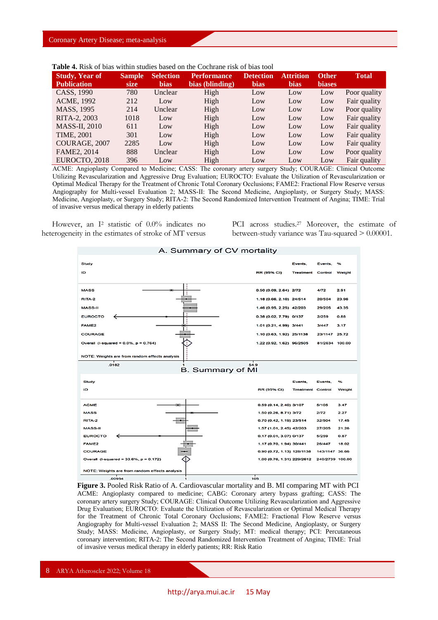| <b>Study, Year of</b> | <b>Sample</b> | <b>Selection</b> | <b>Performance</b> | <b>Detection</b> | <b>Attrition</b> | <b>Other</b>  | <b>Total</b> |
|-----------------------|---------------|------------------|--------------------|------------------|------------------|---------------|--------------|
| <b>Publication</b>    | size          | <b>bias</b>      | bias (blinding)    | <b>bias</b>      | <b>bias</b>      | <b>biases</b> |              |
| CASS, 1990            | 780           | Unclear          | High               | Low              | Low              | Low           | Poor quality |
| ACME, 1992            | 212           | Low              | High               | Low              | Low              | Low           | Fair quality |
| MASS, 1995            | 214           | Unclear          | High               | Low              | Low              | Low           | Poor quality |
| RITA-2, 2003          | 1018          | Low              | High               | Low              | Low              | Low           | Fair quality |
| <b>MASS-II, 2010</b>  | 611           | Low              | High               | Low              | Low              | Low           | Fair quality |
| <b>TIME, 2001</b>     | 301           | Low              | High               | Low              | Low              | Low           | Fair quality |
| COURAGE, 2007         | 2285          | Low              | High               | Low              | Low              | Low           | Fair quality |
| FAME2, 2014           | 888           | Unclear          | High               | Low              | Low              | Low           | Poor quality |
| EUROCTO, 2018         | 396           | Low              | High               | Low              | Low              | Low           | Fair quality |

**Table 4.** Risk of bias within studies based on the Cochrane risk of bias tool

ACME: Angioplasty Compared to Medicine; CASS: The coronary artery surgery Study; COURAGE: Clinical Outcome Utilizing Revascularization and Aggressive Drug Evaluation; EUROCTO: Evaluate the Utilization of Revascularization or Optimal Medical Therapy for the Treatment of Chronic Total Coronary Occlusions; FAME2: Fractional Flow Reserve versus Angiography for Multi-vessel Evaluation 2; MASS-II: The Second Medicine, Angioplasty, or Surgery Study; MASS: Medicine, Angioplasty, or Surgery Study; RITA-2: The Second Randomized Intervention Treatment of Angina; TIME: Trial of invasive versus medical therapy in elderly patients

However, an I<sup>2</sup> statistic of 0.0% indicates no heterogeneity in the estimates of stroke of MT versus

PCI across studies.<sup>27</sup> Moreover, the estimate of between-study variance was Tau-squared > 0.00001.



**Figure 3.** Pooled Risk Ratio of A. Cardiovascular mortality and B. MI comparing MT with PCI ACME: Angioplasty compared to medicine; CABG: Coronary artery bypass grafting; CASS: The coronary artery surgery Study; COURAGE: Clinical Outcome Utilizing Revascularization and Aggressive Drug Evaluation; EUROCTO: Evaluate the Utilization of Revascularization or Optimal Medical Therapy for the Treatment of Chronic Total Coronary Occlusions; FAME2: Fractional Flow Reserve versus Angiography for Multi-vessel Evaluation 2; MASS II: The Second Medicine, Angioplasty, or Surgery Study; MASS: Medicine, Angioplasty, or Surgery Study; MT: medical therapy; PCI: Percutaneous coronary intervention; RITA-2: The Second Randomized Intervention Treatment of Angina; TIME: Trial of invasive versus medical therapy in elderly patients; RR: Risk Ratio

8 ARYA Atheroscler 2022; Volume 18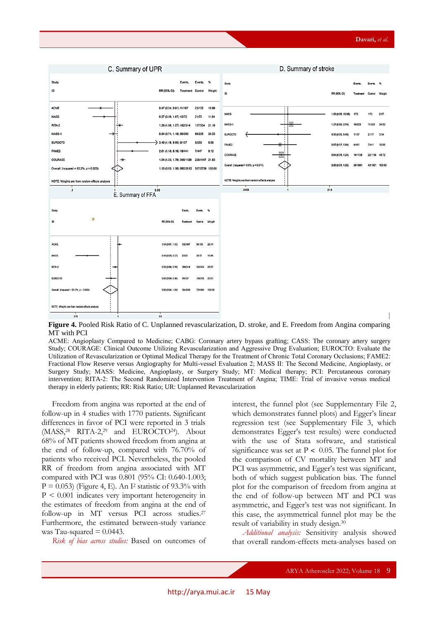

**Figure 4.** Pooled Risk Ratio of C. Unplanned revascularization, D. stroke, and E. Freedom from Angina comparing MT with PCI

ACME: Angioplasty Compared to Medicine; CABG: Coronary artery bypass grafting; CASS: The coronary artery surgery Study; COURAGE: Clinical Outcome Utilizing Revascularization and Aggressive Drug Evaluation; EUROCTO: Evaluate the Utilization of Revascularization or Optimal Medical Therapy for the Treatment of Chronic Total Coronary Occlusions; FAME2: Fractional Flow Reserve versus Angiography for Multi-vessel Evaluation 2; MASS II: The Second Medicine, Angioplasty, or Surgery Study; MASS: Medicine, Angioplasty, or Surgery Study; MT: Medical therapy; PCI: Percutaneous coronary intervention; RITA-2: The Second Randomized Intervention Treatment of Angina; TIME: Trial of invasive versus medical therapy in elderly patients; RR: Risk Ratio; UR: Unplanned Revascularization

Freedom from angina was reported at the end of follow-up in 4 studies with 1770 patients. Significant differences in favor of PCI were reported in 3 trials (MASS,<sup>28</sup> RITA-2,<sup>29</sup> and EUROCTO24). About 68% of MT patients showed freedom from angina at the end of follow-up, compared with 76.70% of patients who received PCI. Nevertheless, the pooled RR of freedom from angina associated with MT compared with PCI was 0.801 (95% CI: 0.640-1.003;  $P = 0.053$ ) (Figure 4, E). An I<sup>2</sup> statistic of 93.3% with P < 0.001 indicates very important heterogeneity in the estimates of freedom from angina at the end of follow-up in MT versus PCI across studies.<sup>27</sup> Furthermore, the estimated between-study variance was Tau-squared  $= 0.0443$ .

*Risk of bias across studies:* Based on outcomes of

interest, the funnel plot (see Supplementary File 2, which demonstrates funnel plots) and Egger's linear regression test (see Supplementary File 3, which demonstrates Egger's test results) were conducted with the use of Stata software, and statistical significance was set at  $P < 0.05$ . The funnel plot for the comparison of CV mortality between MT and PCI was asymmetric, and Egger's test was significant, both of which suggest publication bias. The funnel plot for the comparison of freedom from angina at the end of follow-up between MT and PCI was asymmetric, and Egger's test was not significant. In this case, the asymmetrical funnel plot may be the result of variability in study design. 30

*Additional analysis:* Sensitivity analysis showed that overall random-effects meta-analyses based on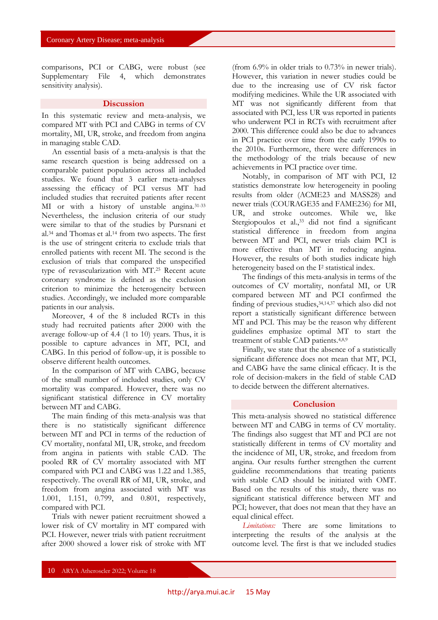comparisons, PCI or CABG, were robust (see Supplementary File 4, which demonstrates sensitivity analysis).

### **Discussion**

In this systematic review and meta-analysis, we compared MT with PCI and CABG in terms of CV mortality, MI, UR, stroke, and freedom from angina in managing stable CAD.

An essential basis of a meta-analysis is that the same research question is being addressed on a comparable patient population across all included studies. We found that 3 earlier meta-analyses assessing the efficacy of PCI versus MT had included studies that recruited patients after recent MI or with a history of unstable angina.31-33 Nevertheless, the inclusion criteria of our study were similar to that of the studies by Pursnani et al.<sup>34</sup> and Thomas et al.<sup>14</sup> from two aspects. The first is the use of stringent criteria to exclude trials that enrolled patients with recent MI. The second is the exclusion of trials that compared the unspecified type of revascularization with MT.<sup>25</sup> Recent acute coronary syndrome is defined as the exclusion criterion to minimize the heterogeneity between studies. Accordingly, we included more comparable patients in our analysis.

Moreover, 4 of the 8 included RCTs in this study had recruited patients after 2000 with the average follow-up of 4.4 (1 to 10) years. Thus, it is possible to capture advances in MT, PCI, and CABG. In this period of follow-up, it is possible to observe different health outcomes.

In the comparison of MT with CABG, because of the small number of included studies, only CV mortality was compared. However, there was no significant statistical difference in CV mortality between MT and CABG.

The main finding of this meta-analysis was that there is no statistically significant difference between MT and PCI in terms of the reduction of CV mortality, nonfatal MI, UR, stroke, and freedom from angina in patients with stable CAD. The pooled RR of CV mortality associated with MT compared with PCI and CABG was 1.22 and 1.385, respectively. The overall RR of MI, UR, stroke, and freedom from angina associated with MT was 1.001, 1.151, 0.799, and 0.801, respectively, compared with PCI.

Trials with newer patient recruitment showed a lower risk of CV mortality in MT compared with PCI. However, newer trials with patient recruitment after 2000 showed a lower risk of stroke with MT

(from 6.9% in older trials to 0.73% in newer trials). However, this variation in newer studies could be due to the increasing use of CV risk factor modifying medicines. While the UR associated with MT was not significantly different from that associated with PCI, less UR was reported in patients who underwent PCI in RCTs with recruitment after 2000. This difference could also be due to advances in PCI practice over time from the early 1990s to the 2010s. Furthermore, there were differences in the methodology of the trials because of new achievements in PCI practice over time.

Notably, in comparison of MT with PCI, I2 statistics demonstrate low heterogeneity in pooling results from older (ACME23 and MASS28) and newer trials (COURAGE35 and FAME236) for MI, UR, and stroke outcomes. While we, like Stergiopoulos et al.,<sup>33</sup> did not find a significant statistical difference in freedom from angina between MT and PCI, newer trials claim PCI is more effective than MT in reducing angina. However, the results of both studies indicate high heterogeneity based on the I<sup>2</sup> statistical index.

The findings of this meta-analysis in terms of the outcomes of CV mortality, nonfatal MI, or UR compared between MT and PCI confirmed the finding of previous studies,34,14,37 which also did not report a statistically significant difference between MT and PCI. This may be the reason why different guidelines emphasize optimal MT to start the treatment of stable CAD patients.4,8,9

Finally, we state that the absence of a statistically significant difference does not mean that MT, PCI, and CABG have the same clinical efficacy. It is the role of decision-makers in the field of stable CAD to decide between the different alternatives.

### **Conclusion**

This meta-analysis showed no statistical difference between MT and CABG in terms of CV mortality. The findings also suggest that MT and PCI are not statistically different in terms of CV mortality and the incidence of MI, UR, stroke, and freedom from angina. Our results further strengthen the current guideline recommendations that treating patients with stable CAD should be initiated with OMT. Based on the results of this study, there was no significant statistical difference between MT and PCI; however, that does not mean that they have an equal clinical effect.

*Limitations:* There are some limitations to interpreting the results of the analysis at the outcome level. The first is that we included studies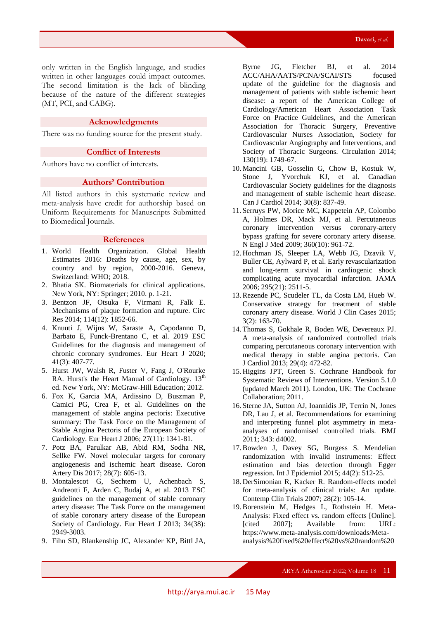only written in the English language, and studies written in other languages could impact outcomes. The second limitation is the lack of blinding because of the nature of the different strategies (MT, PCI, and CABG).

### **Acknowledgments**

There was no funding source for the present study.

### **Conflict of Interests**

Authors have no conflict of interests.

### **Authors' Contribution**

All listed authors in this systematic review and meta-analysis have credit for authorship based on Uniform Requirements for Manuscripts Submitted to Biomedical Journals.

### **References**

- 1. World Health Organization. Global Health Estimates 2016: Deaths by cause, age, sex, by country and by region, 2000-2016. Geneva, Switzerland: WHO; 2018.
- 2. Bhatia SK. Biomaterials for clinical applications. New York, NY: Springer; 2010. p. 1-21.
- 3. Bentzon JF, Otsuka F, Virmani R, Falk E. Mechanisms of plaque formation and rupture. Circ Res 2014; 114(12): 1852-66.
- 4. Knuuti J, Wijns W, Saraste A, Capodanno D, Barbato E, Funck-Brentano C, et al. 2019 ESC Guidelines for the diagnosis and management of chronic coronary syndromes. Eur Heart J 2020; 41(3): 407-77.
- 5. Hurst JW, Walsh R, Fuster V, Fang J, O'Rourke RA. Hurst's the Heart Manual of Cardiology. 13<sup>th</sup> ed. New York, NY: McGraw-Hill Education; 2012.
- 6. Fox K, Garcia MA, Ardissino D, Buszman P, Camici PG, Crea F, et al. Guidelines on the management of stable angina pectoris: Executive summary: The Task Force on the Management of Stable Angina Pectoris of the European Society of Cardiology. Eur Heart J 2006; 27(11): 1341-81.
- 7. Potz BA, Parulkar AB, Abid RM, Sodha NR, Sellke FW. Novel molecular targets for coronary angiogenesis and ischemic heart disease. Coron Artery Dis 2017; 28(7): 605-13.
- 8. Montalescot G, Sechtem U, Achenbach S, Andreotti F, Arden C, Budaj A, et al. 2013 ESC guidelines on the management of stable coronary artery disease: The Task Force on the management of stable coronary artery disease of the European Society of Cardiology. Eur Heart J 2013; 34(38): 2949-3003.
- 9. Fihn SD, Blankenship JC, Alexander KP, Bittl JA,

Byrne JG, Fletcher BJ, et al. 2014 ACC/AHA/AATS/PCNA/SCAI/STS focused update of the guideline for the diagnosis and management of patients with stable ischemic heart disease: a report of the American College of Cardiology/American Heart Association Task Force on Practice Guidelines, and the American Association for Thoracic Surgery, Preventive Cardiovascular Nurses Association, Society for Cardiovascular Angiography and Interventions, and Society of Thoracic Surgeons. Circulation 2014; 130(19): 1749-67.

- 10. Mancini GB, Gosselin G, Chow B, Kostuk W, Stone J, Yvorchuk KJ, et al. Canadian Cardiovascular Society guidelines for the diagnosis and management of stable ischemic heart disease. Can J Cardiol 2014; 30(8): 837-49.
- 11. Serruys PW, Morice MC, Kappetein AP, Colombo A, Holmes DR, Mack MJ, et al. Percutaneous coronary intervention versus coronary-artery bypass grafting for severe coronary artery disease. N Engl J Med 2009; 360(10): 961-72.
- 12. Hochman JS, Sleeper LA, Webb JG, Dzavik V, Buller CE, Aylward P, et al. Early revascularization and long-term survival in cardiogenic shock complicating acute myocardial infarction. JAMA 2006; 295(21): 2511-5.
- 13.Rezende PC, Scudeler TL, da Costa LM, Hueb W. Conservative strategy for treatment of stable coronary artery disease. World J Clin Cases 2015; 3(2): 163-70.
- 14. Thomas S, Gokhale R, Boden WE, Devereaux PJ. A meta-analysis of randomized controlled trials comparing percutaneous coronary intervention with medical therapy in stable angina pectoris. Can J Cardiol 2013; 29(4): 472-82.
- 15. Higgins JPT, Green S. Cochrane Handbook for Systematic Reviews of Interventions. Version 5.1.0 (updated March 2011). London, UK: The Cochrane Collaboration; 2011.
- 16. Sterne JA, Sutton AJ, Ioannidis JP, Terrin N, Jones DR, Lau J, et al. Recommendations for examining and interpreting funnel plot asymmetry in metaanalyses of randomised controlled trials. BMJ 2011; 343: d4002.
- 17.Bowden J, Davey SG, Burgess S. Mendelian randomization with invalid instruments: Effect estimation and bias detection through Egger regression. Int J Epidemiol 2015; 44(2): 512-25.
- 18. DerSimonian R, Kacker R. Random-effects model for meta-analysis of clinical trials: An update. Contemp Clin Trials 2007; 28(2): 105-14.
- 19.Borenstein M, Hedges L, Rothstein H. Meta-Analysis: Fixed effect vs. random effects [Online]. [cited 2007]; Available from: URL: https://www.meta-analysis.com/downloads/Metaanalysis%20fixed%20effect%20vs%20random%20